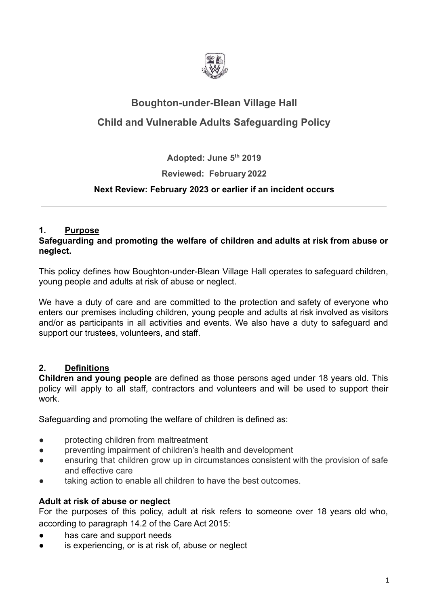

# **Boughton-under-Blean Village Hall**

## **Child and Vulnerable Adults Safeguarding Policy**

**Adopted: June 5th 2019**

## **Reviewed: February 2022**

## **Next Review: February 2023 or earlier if an incident occurs**

## **1. Purpose**

#### **Safeguarding and promoting the welfare of children and adults at risk from abuse or neglect.**

This policy defines how Boughton-under-Blean Village Hall operates to safeguard children, young people and adults at risk of abuse or neglect.

We have a duty of care and are committed to the protection and safety of everyone who enters our premises including children, young people and adults at risk involved as visitors and/or as participants in all activities and events. We also have a duty to safeguard and support our trustees, volunteers, and staff.

## **2. Definitions**

**Children and young people** are defined as those persons aged under 18 years old. This policy will apply to all staff, contractors and volunteers and will be used to support their work.

Safeguarding and promoting the welfare of children is defined as:

- protecting children from maltreatment
- preventing impairment of children's health and development
- ensuring that children grow up in circumstances consistent with the provision of safe and effective care
- taking action to enable all children to have the best outcomes.

## **Adult at risk of abuse or neglect**

For the purposes of this policy, adult at risk refers to someone over 18 years old who, according to paragraph 14.2 of the Care Act 2015:

- has care and support needs
- is experiencing, or is at risk of, abuse or neglect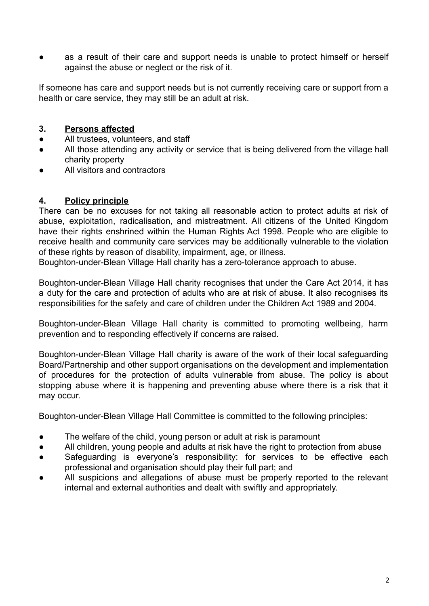as a result of their care and support needs is unable to protect himself or herself against the abuse or neglect or the risk of it.

If someone has care and support needs but is not currently receiving care or support from a health or care service, they may still be an adult at risk.

#### **3. Persons affected**

- All trustees, volunteers, and staff
- All those attending any activity or service that is being delivered from the village hall charity property
- All visitors and contractors

#### **4. Policy principle**

There can be no excuses for not taking all reasonable action to protect adults at risk of abuse, exploitation, radicalisation, and mistreatment. All citizens of the United Kingdom have their rights enshrined within the Human Rights Act 1998. People who are eligible to receive health and community care services may be additionally vulnerable to the violation of these rights by reason of disability, impairment, age, or illness.

Boughton-under-Blean Village Hall charity has a zero-tolerance approach to abuse.

Boughton-under-Blean Village Hall charity recognises that under the Care Act 2014, it has a duty for the care and protection of adults who are at risk of abuse. It also recognises its responsibilities for the safety and care of children under the Children Act 1989 and 2004.

Boughton-under-Blean Village Hall charity is committed to promoting wellbeing, harm prevention and to responding effectively if concerns are raised.

Boughton-under-Blean Village Hall charity is aware of the work of their local safeguarding Board/Partnership and other support organisations on the development and implementation of procedures for the protection of adults vulnerable from abuse. The policy is about stopping abuse where it is happening and preventing abuse where there is a risk that it may occur.

Boughton-under-Blean Village Hall Committee is committed to the following principles:

- The welfare of the child, young person or adult at risk is paramount
- All children, young people and adults at risk have the right to protection from abuse
- Safeguarding is everyone's responsibility: for services to be effective each professional and organisation should play their full part; and
- All suspicions and allegations of abuse must be properly reported to the relevant internal and external authorities and dealt with swiftly and appropriately.